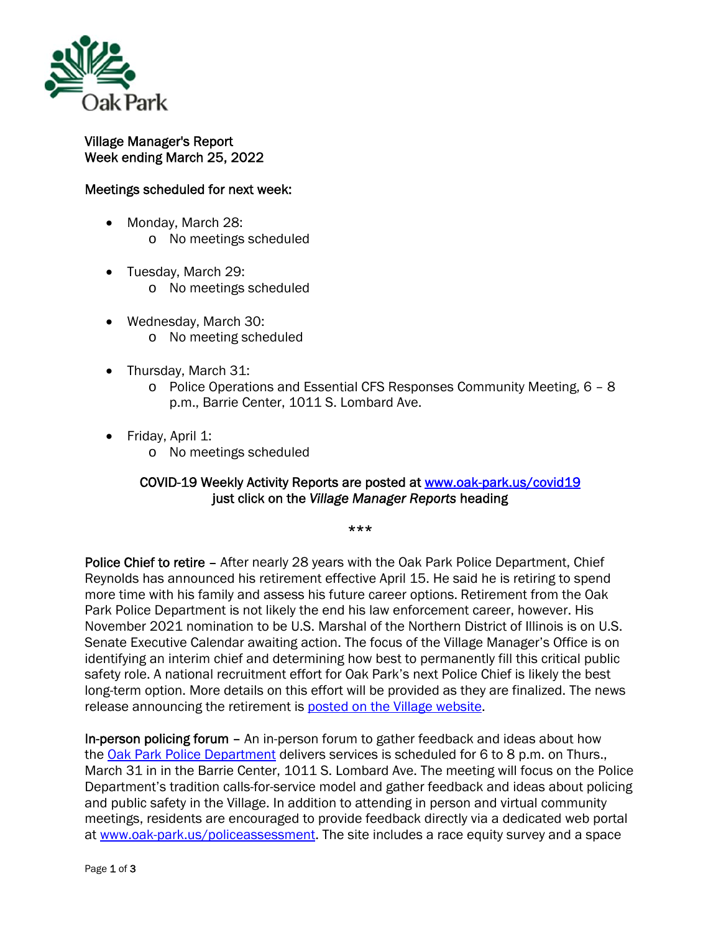

## Village Manager's Report Week ending March 25, 2022

## Meetings scheduled for next week:

- Monday, March 28: o No meetings scheduled
- Tuesday, March 29:
	- o No meetings scheduled
- Wednesday, March 30: o No meeting scheduled
- Thursday, March 31:
	- o Police Operations and Essential CFS Responses Community Meeting, 6 8 p.m., Barrie Center, 1011 S. Lombard Ave.
- Friday, April 1:
	- o No meetings scheduled

## COVID-19 Weekly Activity Reports are posted at www.oak-park.us/covid19 just click on the *Village Manager Reports* heading

## \*\*\*

Police Chief to retire - After nearly 28 years with the Oak Park Police Department, Chief Reynolds has announced his retirement effective April 15. He said he is retiring to spend more time with his family and assess his future career options. Retirement from the Oak Park Police Department is not likely the end his law enforcement career, however. His November 2021 nomination to be U.S. Marshal of the Northern District of Illinois is on U.S. Senate Executive Calendar awaiting action. The focus of the Village Manager's Office is on identifying an interim chief and determining how best to permanently fill this critical public safety role. A national recruitment effort for Oak Park's next Police Chief is likely the best long-term option. More details on this effort will be provided as they are finalized. The news release announcing the retirement is posted on the Village website.

In-person policing forum – An in-person forum to gather feedback and ideas about how the Oak Park Police Department delivers services is scheduled for 6 to 8 p.m. on Thurs., March 31 in in the Barrie Center, 1011 S. Lombard Ave. The meeting will focus on the Police Department's tradition calls-for-service model and gather feedback and ideas about policing and public safety in the Village. In addition to attending in person and virtual community meetings, residents are encouraged to provide feedback directly via a dedicated web portal at www.oak-park.us/policeassessment. The site includes a race equity survey and a space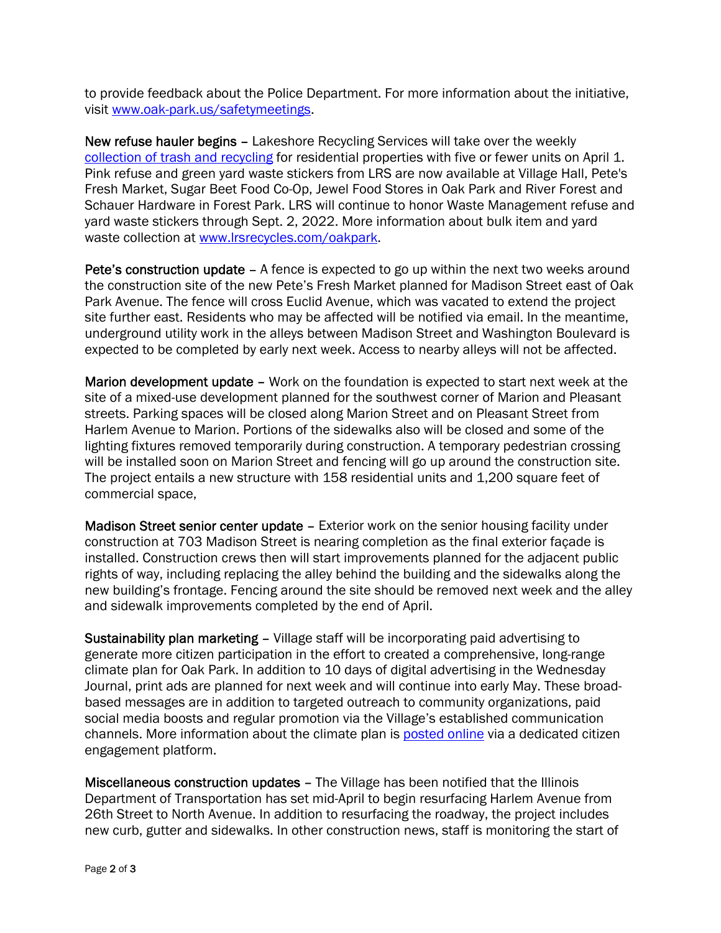to provide feedback about the Police Department. For more information about the initiative, visit www.oak-park.us/safetymeetings.

New refuse hauler begins – Lakeshore Recycling Services will take over the weekly collection of trash and recycling for residential properties with five or fewer units on April 1. Pink refuse and green yard waste stickers from LRS are now available at Village Hall, Pete's Fresh Market, Sugar Beet Food Co-Op, Jewel Food Stores in Oak Park and River Forest and Schauer Hardware in Forest Park. LRS will continue to honor Waste Management refuse and yard waste stickers through Sept. 2, 2022. More information about bulk item and yard waste collection at www.lrsrecycles.com/oakpark.

Pete's construction update – A fence is expected to go up within the next two weeks around the construction site of the new Pete's Fresh Market planned for Madison Street east of Oak Park Avenue. The fence will cross Euclid Avenue, which was vacated to extend the project site further east. Residents who may be affected will be notified via email. In the meantime, underground utility work in the alleys between Madison Street and Washington Boulevard is expected to be completed by early next week. Access to nearby alleys will not be affected.

Marion development update – Work on the foundation is expected to start next week at the site of a mixed-use development planned for the southwest corner of Marion and Pleasant streets. Parking spaces will be closed along Marion Street and on Pleasant Street from Harlem Avenue to Marion. Portions of the sidewalks also will be closed and some of the lighting fixtures removed temporarily during construction. A temporary pedestrian crossing will be installed soon on Marion Street and fencing will go up around the construction site. The project entails a new structure with 158 residential units and 1,200 square feet of commercial space,

Madison Street senior center update - Exterior work on the senior housing facility under construction at 703 Madison Street is nearing completion as the final exterior façade is installed. Construction crews then will start improvements planned for the adjacent public rights of way, including replacing the alley behind the building and the sidewalks along the new building's frontage. Fencing around the site should be removed next week and the alley and sidewalk improvements completed by the end of April.

Sustainability plan marketing – Village staff will be incorporating paid advertising to generate more citizen participation in the effort to created a comprehensive, long-range climate plan for Oak Park. In addition to 10 days of digital advertising in the Wednesday Journal, print ads are planned for next week and will continue into early May. These broadbased messages are in addition to targeted outreach to community organizations, paid social media boosts and regular promotion via the Village's established communication channels. More information about the climate plan is posted online via a dedicated citizen engagement platform.

Miscellaneous construction updates – The Village has been notified that the Illinois Department of Transportation has set mid-April to begin resurfacing Harlem Avenue from 26th Street to North Avenue. In addition to resurfacing the roadway, the project includes new curb, gutter and sidewalks. In other construction news, staff is monitoring the start of